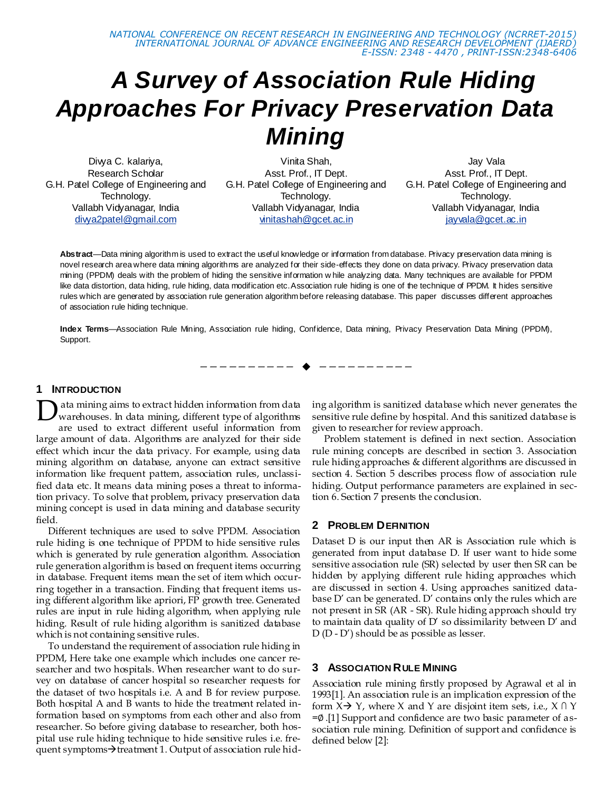# *A Survey of Association Rule Hiding Approaches For Privacy Preservation Data Mining*

Divya C. kalariya, Research Scholar G.H. Patel College of Engineering and Technology. Vallabh Vidyanagar, India [divya2patel@gmail.com](mailto:divya2patel@gmail.com)

Vinita Shah, Asst. Prof., IT Dept. G.H. Patel College of Engineering and Technology. Vallabh Vidyanagar, India vinitashah@gcet.ac.in

Jay Vala Asst. Prof., IT Dept. G.H. Patel College of Engineering and Technology. Vallabh Vidyanagar, India jayvala@gcet.ac.in

**Abstract**—Data mining algorithm is used to extract the useful knowledge or information from database. Privacy preservation data mining is novel research area where data mining algorithms are analyzed for their side-effects they done on data privacy. Privacy preservation data mining (PPDM) deals with the problem of hiding the sensitive information w hile analyzing data. Many techniques are available for PPDM like data distortion, data hiding, rule hiding, data modification etc. Association rule hiding is one of the technique of PPDM. It hides sensitive rules which are generated by association rule generation algorithm before releasing database. This paper discusses different approaches of association rule hiding technique.

**Index Terms**—Association Rule Mining, Association rule hiding, Confidence, Data mining, Privacy Preservation Data Mining (PPDM), Support.

—————————— ——————————

#### **1 INTRODUCTION**

ata mining aims to extract hidden information from data warehouses. In data mining, different type of algorithms are used to extract different useful information from large amount of data. Algorithms are analyzed for their side effect which incur the data privacy. For example, using data mining algorithm on database, anyone can extract sensitive information like frequent pattern, association rules, unclassified data etc. It means data mining poses a threat to information privacy. To solve that problem, privacy preservation data mining concept is used in data mining and database security field. D

Different techniques are used to solve PPDM. Association rule hiding is one technique of PPDM to hide sensitive rules which is generated by rule generation algorithm. Association rule generation algorithm is based on frequent items occurring in database. Frequent items mean the set of item which occurring together in a transaction. Finding that frequent items using different algorithm like apriori, FP growth tree. Generated rules are input in rule hiding algorithm, when applying rule hiding. Result of rule hiding algorithm is sanitized database which is not containing sensitive rules.

To understand the requirement of association rule hiding in PPDM, Here take one example which includes one cancer researcher and two hospitals. When researcher want to do survey on database of cancer hospital so researcher requests for the dataset of two hospitals i.e. A and B for review purpose. Both hospital A and B wants to hide the treatment related information based on symptoms from each other and also from researcher. So before giving database to researcher, both hospital use rule hiding technique to hide sensitive rules i.e. frequent symptoms $\rightarrow$ treatment 1. Output of association rule hiding algorithm is sanitized database which never generates the sensitive rule define by hospital. And this sanitized database is given to researcher for review approach.

Problem statement is defined in next section. Association rule mining concepts are described in section 3. Association rule hiding approaches & different algorithms are discussed in section 4. Section 5 describes process flow of association rule hiding. Output performance parameters are explained in section 6. Section 7 presents the conclusion.

#### **2 PROBLEM DEFINITION**

Dataset D is our input then AR is Association rule which is generated from input database D. If user want to hide some sensitive association rule (SR) selected by user then SR can be hidden by applying different rule hiding approaches which are discussed in section 4. Using approaches sanitized database D' can be generated. D' contains only the rules which are not present in SR (AR - SR). Rule hiding approach should try to maintain data quality of  $D'$  so dissimilarity between  $D'$  and D (D - D') should be as possible as lesser.

#### **3 ASSOCIATION RULE MINING**

Association rule mining firstly proposed by Agrawal et al in 1993[1]. An association rule is an implication expression of the form  $X \rightarrow Y$ , where X and Y are disjoint item sets, i.e.,  $X \cap Y$ =∅.[1] Support and confidence are two basic parameter of association rule mining. Definition of support and confidence is defined below [2]: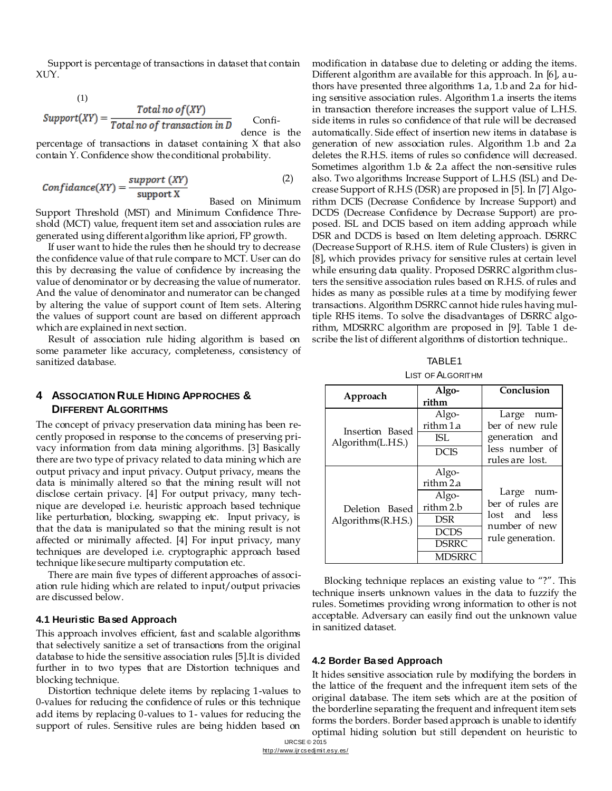Support is percentage of transactions in dataset that contain XƯY.

$$
Support(XY) = \frac{Total\ no\ of(XY)}{Total\ no\ of\ transaction\ in\ D}
$$
Confi-  
dence is the

percentage of transactions in dataset containing X that also contain Y. Confidence show the conditional probability.

$$
Confidence(XY) = \frac{support(XY)}{support X}
$$
 (2)

Based on Minimum

Support Threshold (MST) and Minimum Confidence Threshold (MCT) value, frequent item set and association rules are generated using different algorithm like apriori, FP growth.

If user want to hide the rules then he should try to decrease the confidence value of that rule compare to MCT. User can do this by decreasing the value of confidence by increasing the value of denominator or by decreasing the value of numerator. And the value of denominator and numerator can be changed by altering the value of support count of Item sets. Altering the values of support count are based on different approach which are explained in next section.

Result of association rule hiding algorithm is based on some parameter like accuracy, completeness, consistency of sanitized database.

#### **4 ASSOCIATION RULE HIDING APPROCHES & DIFFERENT ALGORITHMS**

The concept of privacy preservation data mining has been recently proposed in response to the concerns of preserving privacy information from data mining algorithms. [3] Basically there are two type of privacy related to data mining which are output privacy and input privacy. Output privacy, means the data is minimally altered so that the mining result will not disclose certain privacy. [4] For output privacy, many technique are developed i.e. heuristic approach based technique like perturbation, blocking, swapping etc. Input privacy, is that the data is manipulated so that the mining result is not affected or minimally affected. [4] For input privacy, many techniques are developed i.e. cryptographic approach based technique like secure multiparty computation etc.

There are main five types of different approaches of association rule hiding which are related to input/output privacies are discussed below.

#### **4.1 Heuristic Based Approach**

This approach involves efficient, fast and scalable algorithms that selectively sanitize a set of transactions from the original database to hide the sensitive association rules [5].It is divided further in to two types that are Distortion techniques and blocking technique.

Distortion technique delete items by replacing 1-values to 0-values for reducing the confidence of rules or this technique add items by replacing 0-values to 1- values for reducing the support of rules. Sensitive rules are being hidden based on

modification in database due to deleting or adding the items. Different algorithm are available for this approach. In [6], authors have presented three algorithms 1.a, 1.b and 2.a for hiding sensitive association rules. Algorithm 1.a inserts the items in transaction therefore increases the support value of L.H.S. side items in rules so confidence of that rule will be decreased automatically. Side effect of insertion new items in database is generation of new association rules. Algorithm 1.b and 2.a deletes the R.H.S. items of rules so confidence will decreased. Sometimes algorithm 1.b & 2.a affect the non-sensitive rules also. Two algorithms Increase Support of L.H.S (ISL) and Decrease Support of R.H.S (DSR) are proposed in [5]. In [7] Algorithm DCIS (Decrease Confidence by Increase Support) and DCDS (Decrease Confidence by Decrease Support) are proposed. ISL and DCIS based on item adding approach while DSR and DCDS is based on Item deleting approach. DSRRC (Decrease Support of R.H.S. item of Rule Clusters) is given in [8], which provides privacy for sensitive rules at certain level while ensuring data quality. Proposed DSRRC algorithm clusters the sensitive association rules based on R.H.S. of rules and hides as many as possible rules at a time by modifying fewer transactions. Algorithm DSRRC cannot hide rules having multiple RHS items. To solve the disadvantages of DSRRC algorithm, MDSRRC algorithm are proposed in [9]. Table 1 describe the list of different algorithms of distortion technique..

TABLE1

| <b>LIST OF ALGORITHM</b> |  |
|--------------------------|--|
|                          |  |

| Approach                                | Algo-<br>rithm                                                                                   | Conclusion                                                                           |
|-----------------------------------------|--------------------------------------------------------------------------------------------------|--------------------------------------------------------------------------------------|
| Insertion Based<br>Algorithm(L.H.S.)    | Algo-<br>rithm 1 a<br>ISL.<br><b>DCIS</b>                                                        | Large num-<br>ber of new rule<br>generation and<br>less number of<br>rules are lost. |
| Deletion Based<br>Algorithms $(R.H.S.)$ | Algo-<br>rithm 2.a<br>Algo-<br>rithm 2.b<br>DSR.<br><b>DCDS</b><br><b>DSRRC</b><br><b>MDSRRC</b> | Large num-<br>ber of rules are<br>lost and less<br>number of new<br>rule generation. |

Blocking technique replaces an existing value to "?". This technique inserts unknown values in the data to fuzzify the rules. Sometimes providing wrong information to other is not acceptable. Adversary can easily find out the unknown value in sanitized dataset.

#### **4.2 Border Based Approach**

It hides sensitive association rule by modifying the borders in the lattice of the frequent and the infrequent item sets of the original database. The item sets which are at the position of the borderline separating the frequent and infrequent item sets forms the borders. Border based approach is unable to identify optimal hiding solution but still dependent on heuristic to

IJRCSE © 2015 http://www.ijr cs edj mi t.esy.es/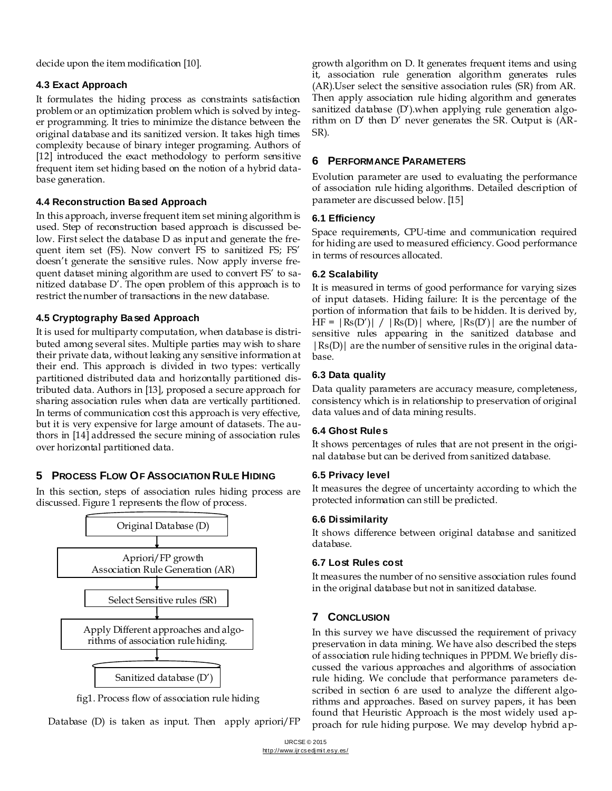decide upon the item modification [10].

## **4.3 Exact Approach**

It formulates the hiding process as constraints satisfaction problem or an optimization problem which is solved by integer programming. It tries to minimize the distance between the original database and its sanitized version. It takes high times complexity because of binary integer programing. Authors of [12] introduced the exact methodology to perform sensitive frequent item set hiding based on the notion of a hybrid database generation.

# **4.4 Reconstruction Based Approach**

In this approach, inverse frequent item set mining algorithm is used. Step of reconstruction based approach is discussed below. First select the database D as input and generate the frequent item set (FS). Now convert FS to sanitized FS; FS' doesn't generate the sensitive rules. Now apply inverse frequent dataset mining algorithm are used to convert FS' to sanitized database D'. The open problem of this approach is to restrict the number of transactions in the new database.

# **4.5 Cryptography Based Approach**

It is used for multiparty computation, when database is distributed among several sites. Multiple parties may wish to share their private data, without leaking any sensitive information at their end. This approach is divided in two types: vertically partitioned distributed data and horizontally partitioned distributed data. Authors in [13], proposed a secure approach for sharing association rules when data are vertically partitioned. In terms of communication cost this approach is very effective, but it is very expensive for large amount of datasets. The authors in [14] addressed the secure mining of association rules over horizontal partitioned data.

# **5 PROCESS FLOW OF ASSOCIATION RULE HIDING**

In this section, steps of association rules hiding process are discussed. Figure 1 represents the flow of process.



fig1. Process flow of association rule hiding

Database (D) is taken as input. Then apply apriori/FP

growth algorithm on D. It generates frequent items and using it, association rule generation algorithm generates rules (AR).User select the sensitive association rules (SR) from AR. Then apply association rule hiding algorithm and generates sanitized database (D').when applying rule generation algorithm on D' then D' never generates the SR. Output is (AR-SR).

# **6 PERFORMANCE PARAMETERS**

Evolution parameter are used to evaluating the performance of association rule hiding algorithms. Detailed description of parameter are discussed below. [15]

## **6.1 Efficiency**

Space requirements, CPU-time and communication required for hiding are used to measured efficiency. Good performance in terms of resources allocated.

# **6.2 Scalability**

It is measured in terms of good performance for varying sizes of input datasets. Hiding failure: It is the percentage of the portion of information that fails to be hidden. It is derived by, HF =  $|Rs(D')| / |Rs(D)|$  where,  $|Rs(D')|$  are the number of sensitive rules appearing in the sanitized database and  $|Rs(D)|$  are the number of sensitive rules in the original database.

# **6.3 Data quality**

Data quality parameters are accuracy measure, completeness, consistency which is in relationship to preservation of original data values and of data mining results.

## **6.4 Ghost Rules**

It shows percentages of rules that are not present in the original database but can be derived from sanitized database.

# **6.5 Privacy level**

It measures the degree of uncertainty according to which the protected information can still be predicted.

## **6.6 Dissimilarity**

It shows difference between original database and sanitized database.

## **6.7 Lost Rules cost**

It measures the number of no sensitive association rules found in the original database but not in sanitized database.

# **7 CONCLUSION**

In this survey we have discussed the requirement of privacy preservation in data mining. We have also described the steps of association rule hiding techniques in PPDM. We briefly discussed the various approaches and algorithms of association rule hiding. We conclude that performance parameters described in section 6 are used to analyze the different algorithms and approaches. Based on survey papers, it has been found that Heuristic Approach is the most widely used approach for rule hiding purpose. We may develop hybrid ap